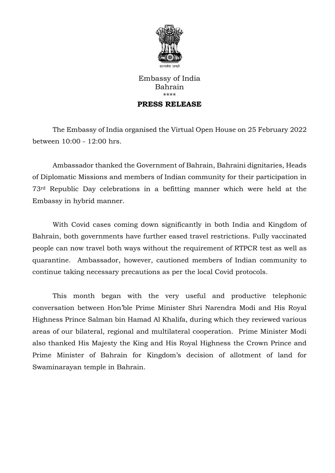

## Embassy of India Bahrain \*\*\*\* **PRESS RELEASE**

The Embassy of India organised the Virtual Open House on 25 February 2022 between 10:00 - 12:00 hrs.

Ambassador thanked the Government of Bahrain, Bahraini dignitaries, Heads of Diplomatic Missions and members of Indian community for their participation in 73rd Republic Day celebrations in a befitting manner which were held at the Embassy in hybrid manner.

With Covid cases coming down significantly in both India and Kingdom of Bahrain, both governments have further eased travel restrictions. Fully vaccinated people can now travel both ways without the requirement of RTPCR test as well as quarantine. Ambassador, however, cautioned members of Indian community to continue taking necessary precautions as per the local Covid protocols.

This month began with the very useful and productive telephonic conversation between Hon'ble Prime Minister Shri Narendra Modi and His Royal Highness Prince Salman bin Hamad Al Khalifa, during which they reviewed various areas of our bilateral, regional and multilateral cooperation. Prime Minister Modi also thanked His Majesty the King and His Royal Highness the Crown Prince and Prime Minister of Bahrain for Kingdom's decision of allotment of land for Swaminarayan temple in Bahrain.